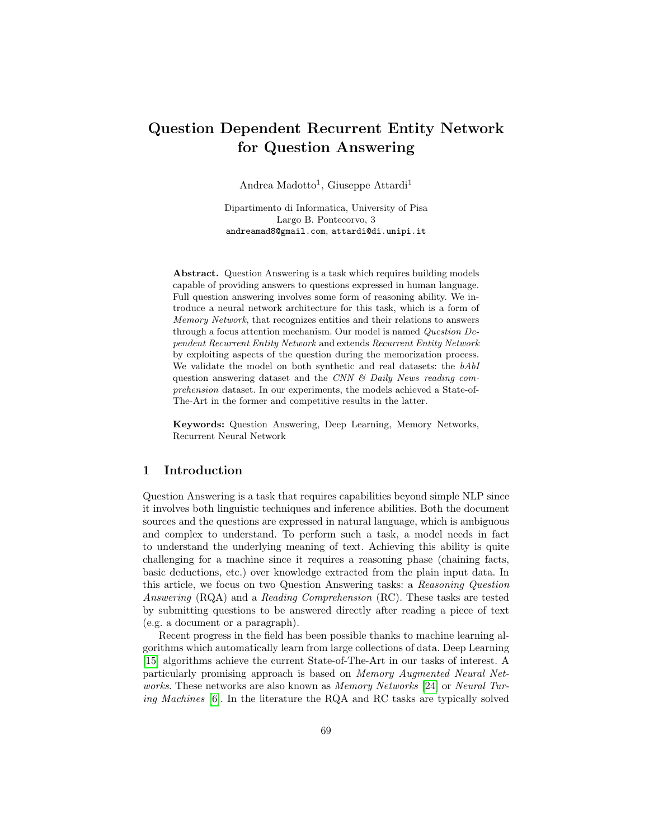# Question Dependent Recurrent Entity Network for Question Answering

Andrea Madotto<sup>1</sup>, Giuseppe Attardi<sup>1</sup>

Dipartimento di Informatica, University of Pisa Largo B. Pontecorvo, 3 andreamad8@gmail.com, attardi@di.unipi.it

Abstract. Question Answering is a task which requires building models capable of providing answers to questions expressed in human language. Full question answering involves some form of reasoning ability. We introduce a neural network architecture for this task, which is a form of Memory Network, that recognizes entities and their relations to answers through a focus attention mechanism. Our model is named Question Dependent Recurrent Entity Network and extends Recurrent Entity Network by exploiting aspects of the question during the memorization process. We validate the model on both synthetic and real datasets: the bAbI question answering dataset and the CNN  $\mathcal{C}$  Daily News reading comprehension dataset. In our experiments, the models achieved a State-of-The-Art in the former and competitive results in the latter.

Keywords: Question Answering, Deep Learning, Memory Networks, Recurrent Neural Network

## 1 Introduction

Question Answering is a task that requires capabilities beyond simple NLP since it involves both linguistic techniques and inference abilities. Both the document sources and the questions are expressed in natural language, which is ambiguous and complex to understand. To perform such a task, a model needs in fact to understand the underlying meaning of text. Achieving this ability is quite challenging for a machine since it requires a reasoning phase (chaining facts, basic deductions, etc.) over knowledge extracted from the plain input data. In this article, we focus on two Question Answering tasks: a Reasoning Question Answering (RQA) and a Reading Comprehension (RC). These tasks are tested by submitting questions to be answered directly after reading a piece of text (e.g. a document or a paragraph).

Recent progress in the field has been possible thanks to machine learning algorithms which automatically learn from large collections of data. Deep Learning [\[15\]](#page-11-0) algorithms achieve the current State-of-The-Art in our tasks of interest. A particularly promising approach is based on Memory Augmented Neural Net-works. These networks are also known as Memory Networks [\[24\]](#page-11-1) or Neural Turing Machines [\[6\]](#page-10-0). In the literature the RQA and RC tasks are typically solved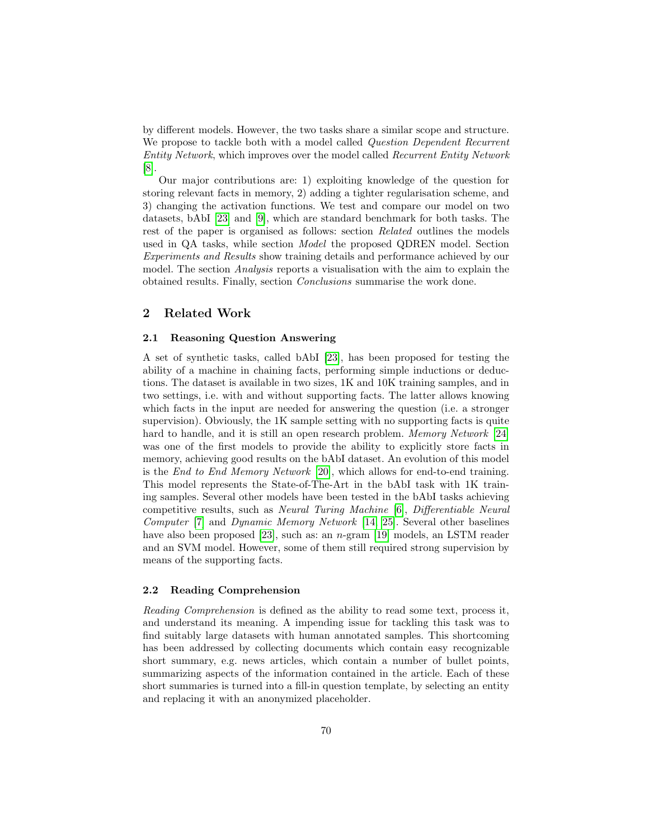by different models. However, the two tasks share a similar scope and structure. We propose to tackle both with a model called *Question Dependent Recurrent* Entity Network, which improves over the model called Recurrent Entity Network [\[8\]](#page-10-1).

Our major contributions are: 1) exploiting knowledge of the question for storing relevant facts in memory, 2) adding a tighter regularisation scheme, and 3) changing the activation functions. We test and compare our model on two datasets, bAbI [\[23\]](#page-11-2) and [\[9\]](#page-11-3), which are standard benchmark for both tasks. The rest of the paper is organised as follows: section Related outlines the models used in QA tasks, while section Model the proposed QDREN model. Section Experiments and Results show training details and performance achieved by our model. The section Analysis reports a visualisation with the aim to explain the obtained results. Finally, section Conclusions summarise the work done.

#### 2 Related Work

#### 2.1 Reasoning Question Answering

A set of synthetic tasks, called bAbI [\[23\]](#page-11-2), has been proposed for testing the ability of a machine in chaining facts, performing simple inductions or deductions. The dataset is available in two sizes, 1K and 10K training samples, and in two settings, i.e. with and without supporting facts. The latter allows knowing which facts in the input are needed for answering the question (i.e. a stronger supervision). Obviously, the 1K sample setting with no supporting facts is quite hard to handle, and it is still an open research problem. *Memory Network* [\[24\]](#page-11-1) was one of the first models to provide the ability to explicitly store facts in memory, achieving good results on the bAbI dataset. An evolution of this model is the End to End Memory Network [\[20\]](#page-11-4), which allows for end-to-end training. This model represents the State-of-The-Art in the bAbI task with 1K training samples. Several other models have been tested in the bAbI tasks achieving competitive results, such as Neural Turing Machine [\[6\]](#page-10-0), Differentiable Neural Computer [\[7\]](#page-10-2) and Dynamic Memory Network [\[14,](#page-11-5) [25\]](#page-11-6). Several other baselines have also been proposed [\[23\]](#page-11-2), such as: an n-gram [\[19\]](#page-11-7) models, an LSTM reader and an SVM model. However, some of them still required strong supervision by means of the supporting facts.

#### 2.2 Reading Comprehension

Reading Comprehension is defined as the ability to read some text, process it, and understand its meaning. A impending issue for tackling this task was to find suitably large datasets with human annotated samples. This shortcoming has been addressed by collecting documents which contain easy recognizable short summary, e.g. news articles, which contain a number of bullet points, summarizing aspects of the information contained in the article. Each of these short summaries is turned into a fill-in question template, by selecting an entity and replacing it with an anonymized placeholder.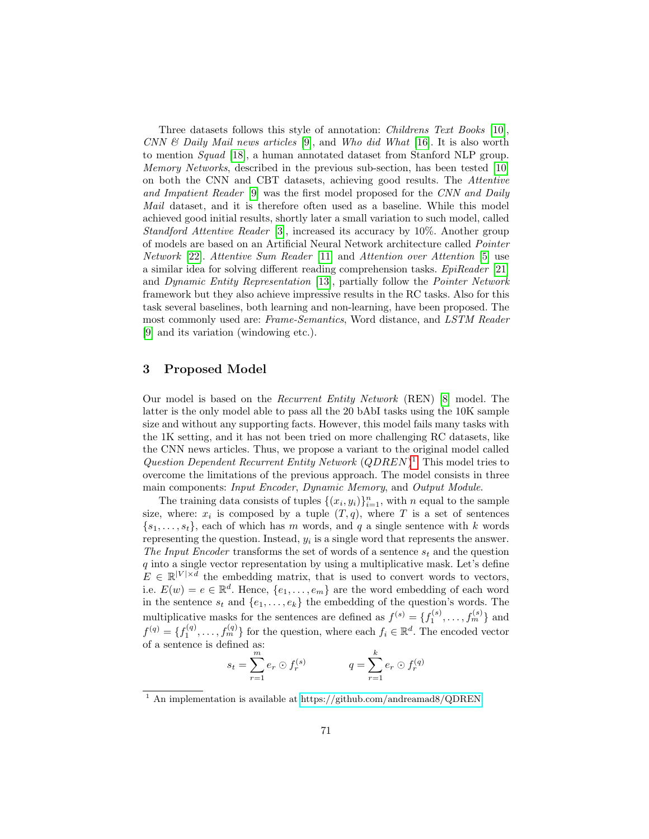Three datasets follows this style of annotation: Childrens Text Books [\[10\]](#page-11-8), CNN & Daily Mail news articles [\[9\]](#page-11-3), and Who did What [\[16\]](#page-11-9). It is also worth to mention Squad [\[18\]](#page-11-10), a human annotated dataset from Stanford NLP group. Memory Networks, described in the previous sub-section, has been tested [\[10\]](#page-11-8) on both the CNN and CBT datasets, achieving good results. The Attentive and Impatient Reader [\[9\]](#page-11-3) was the first model proposed for the CNN and Daily Mail dataset, and it is therefore often used as a baseline. While this model achieved good initial results, shortly later a small variation to such model, called Standford Attentive Reader [\[3\]](#page-10-3), increased its accuracy by 10%. Another group of models are based on an Artificial Neural Network architecture called Pointer Network [\[22\]](#page-11-11). Attentive Sum Reader [\[11\]](#page-11-12) and Attention over Attention [\[5\]](#page-10-4) use a similar idea for solving different reading comprehension tasks. EpiReader [\[21\]](#page-11-13) and Dynamic Entity Representation [\[13\]](#page-11-14), partially follow the Pointer Network framework but they also achieve impressive results in the RC tasks. Also for this task several baselines, both learning and non-learning, have been proposed. The most commonly used are: Frame-Semantics, Word distance, and LSTM Reader [\[9\]](#page-11-3) and its variation (windowing etc.).

# 3 Proposed Model

Our model is based on the Recurrent Entity Network (REN) [\[8\]](#page-10-1) model. The latter is the only model able to pass all the 20 bAbI tasks using the 10K sample size and without any supporting facts. However, this model fails many tasks with the 1K setting, and it has not been tried on more challenging RC datasets, like the CNN news articles. Thus, we propose a variant to the original model called Question Dependent Recurrent Entity Network  $(QDREN)^1$  $(QDREN)^1$ . This model tries to overcome the limitations of the previous approach. The model consists in three main components: Input Encoder, Dynamic Memory, and Output Module.

The training data consists of tuples  $\{(x_i, y_i)\}_{i=1}^n$ , with n equal to the sample size, where:  $x_i$  is composed by a tuple  $(T, q)$ , where T is a set of sentences  ${s_1, \ldots, s_t}$ , each of which has m words, and q a single sentence with k words representing the question. Instead,  $y_i$  is a single word that represents the answer. The Input Encoder transforms the set of words of a sentence  $s_t$  and the question  $q$  into a single vector representation by using a multiplicative mask. Let's define  $E \in \mathbb{R}^{|V| \times d}$  the embedding matrix, that is used to convert words to vectors, i.e.  $E(w) = e \in \mathbb{R}^d$ . Hence,  $\{e_1, \ldots, e_m\}$  are the word embedding of each word in the sentence  $s_t$  and  $\{e_1, \ldots, e_k\}$  the embedding of the question's words. The multiplicative masks for the sentences are defined as  $f^{(s)} = \{f_1^{(s)}, \ldots, f_m^{(s)}\}$  and  $f^{(q)} = \{f_1^{(q)}, \ldots, f_m^{(q)}\}$  for the question, where each  $f_i \in \mathbb{R}^d$ . The encoded vector of a sentence is defined as:

$$
s_t = \sum_{r=1}^m e_r \odot f_r^{(s)}
$$
  $q = \sum_{r=1}^k e_r \odot f_r^{(q)}$ 

<span id="page-2-0"></span><sup>&</sup>lt;sup>1</sup> An implementation is available at<https://github.com/andreamad8/QDREN>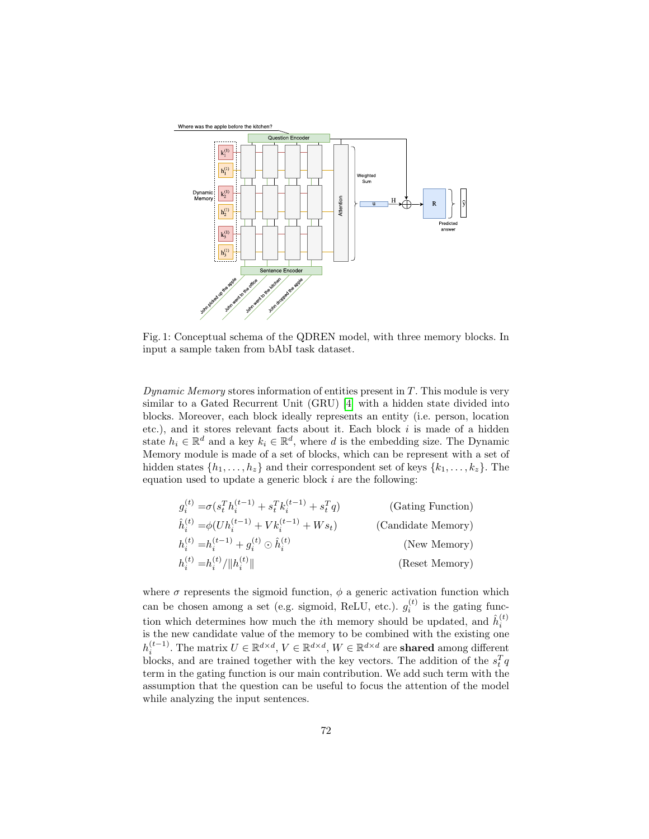<span id="page-3-0"></span>

Fig. 1: Conceptual schema of the QDREN model, with three memory blocks. In input a sample taken from bAbI task dataset.

Dynamic Memory stores information of entities present in  $T$ . This module is very similar to a Gated Recurrent Unit (GRU) [\[4\]](#page-10-5) with a hidden state divided into blocks. Moreover, each block ideally represents an entity (i.e. person, location etc.), and it stores relevant facts about it. Each block  $i$  is made of a hidden state  $h_i \in \mathbb{R}^d$  and a key  $k_i \in \mathbb{R}^d$ , where d is the embedding size. The Dynamic Memory module is made of a set of blocks, which can be represent with a set of hidden states  $\{h_1, \ldots, h_z\}$  and their correspondent set of keys  $\{k_1, \ldots, k_z\}$ . The equation used to update a generic block  $i$  are the following:

$$
g_i^{(t)} = \sigma(s_i^T h_i^{(t-1)} + s_i^T k_i^{(t-1)} + s_i^T q)
$$
 (Gating Function)  
\n
$$
\hat{h}_i^{(t)} = \phi(Uh_i^{(t-1)} + Vk_i^{(t-1)} + Ws_t)
$$
 (Candidate Memory)  
\n
$$
h_i^{(t)} = h_i^{(t-1)} + g_i^{(t)} \odot \hat{h}_i^{(t)}
$$
 (New Memory)  
\n
$$
h_i^{(t)} = h_i^{(t)}/\|h_i^{(t)}\|
$$
 (Reset Memory)

where  $\sigma$  represents the sigmoid function,  $\phi$  a generic activation function which can be chosen among a set (e.g. sigmoid, ReLU, etc.).  $g_i^{(t)}$  is the gating function which determines how much the *i*<sup>th</sup> memory should be updated, and  $\hat{h}_i^{(t)}$ is the new candidate value of the memory to be combined with the existing one  $h_i^{(t-1)}$ . The matrix  $U \in \mathbb{R}^{d \times d}$ ,  $V \in \mathbb{R}^{d \times d}$ ,  $W \in \mathbb{R}^{d \times d}$  are **shared** among different blocks, and are trained together with the key vectors. The addition of the  $s_t^T q$ term in the gating function is our main contribution. We add such term with the assumption that the question can be useful to focus the attention of the model while analyzing the input sentences.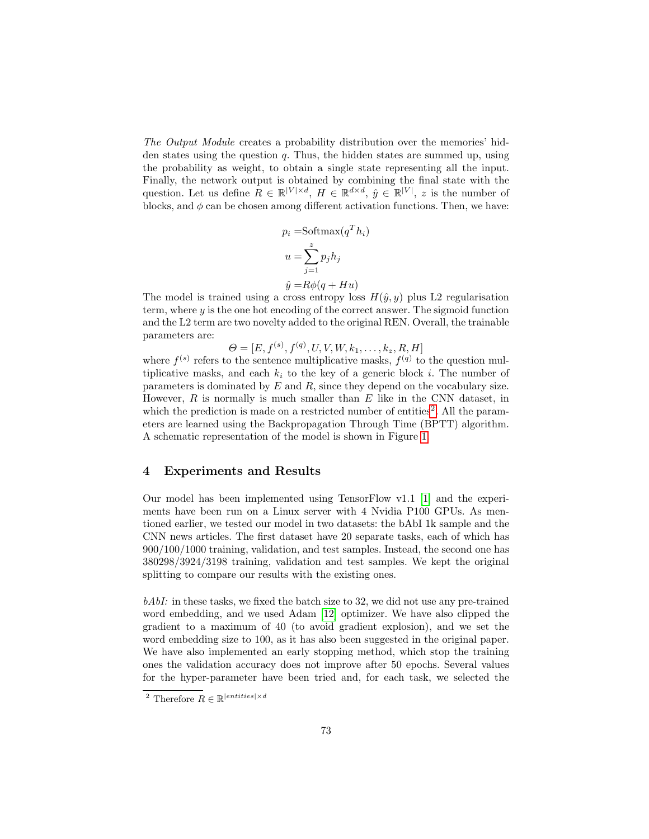The Output Module creates a probability distribution over the memories' hidden states using the question  $q$ . Thus, the hidden states are summed up, using the probability as weight, to obtain a single state representing all the input. Finally, the network output is obtained by combining the final state with the question. Let us define  $R \in \mathbb{R}^{|V| \times d}$ ,  $H \in \mathbb{R}^{d \times d}$ ,  $\hat{y} \in \mathbb{R}^{|V|}$ , z is the number of blocks, and  $\phi$  can be chosen among different activation functions. Then, we have:

$$
p_i = \text{Softmax}(q^T h_i)
$$

$$
u = \sum_{j=1}^{z} p_j h_j
$$

$$
\hat{y} = R\phi(q + Hu)
$$

The model is trained using a cross entropy loss  $H(\hat{y}, y)$  plus L2 regularisation term, where  $y$  is the one hot encoding of the correct answer. The sigmoid function and the L2 term are two novelty added to the original REN. Overall, the trainable parameters are:

 $\Theta = [E, f^{(s)}, f^{(q)}, U, V, W, k_1, \ldots, k_z, R, H]$ 

where  $f^{(s)}$  refers to the sentence multiplicative masks,  $f^{(q)}$  to the question multiplicative masks, and each  $k_i$  to the key of a generic block i. The number of parameters is dominated by  $E$  and  $R$ , since they depend on the vocabulary size. However,  $R$  is normally is much smaller than  $E$  like in the CNN dataset, in which the prediction is made on a restricted number of entities<sup>[2](#page-4-0)</sup>. All the parameters are learned using the Backpropagation Through Time (BPTT) algorithm. A schematic representation of the model is shown in Figure [1.](#page-3-0)

## 4 Experiments and Results

Our model has been implemented using TensorFlow v1.1 [\[1\]](#page-10-6) and the experiments have been run on a Linux server with 4 Nvidia P100 GPUs. As mentioned earlier, we tested our model in two datasets: the bAbI 1k sample and the CNN news articles. The first dataset have 20 separate tasks, each of which has 900/100/1000 training, validation, and test samples. Instead, the second one has 380298/3924/3198 training, validation and test samples. We kept the original splitting to compare our results with the existing ones.

 $bAbI$ : in these tasks, we fixed the batch size to 32, we did not use any pre-trained word embedding, and we used Adam [\[12\]](#page-11-15) optimizer. We have also clipped the gradient to a maximum of 40 (to avoid gradient explosion), and we set the word embedding size to 100, as it has also been suggested in the original paper. We have also implemented an early stopping method, which stop the training ones the validation accuracy does not improve after 50 epochs. Several values for the hyper-parameter have been tried and, for each task, we selected the

<span id="page-4-0"></span><sup>&</sup>lt;sup>2</sup> Therefore  $R \in \mathbb{R}^{|entities| \times d}$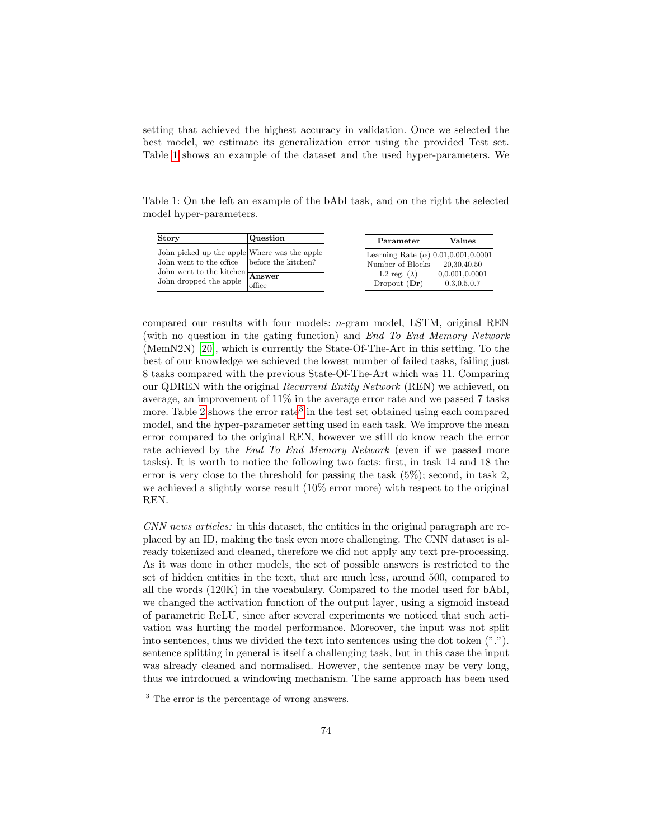setting that achieved the highest accuracy in validation. Once we selected the best model, we estimate its generalization error using the provided Test set. Table [1](#page-5-0) shows an example of the dataset and the used hyper-parameters. We

<span id="page-5-0"></span>Table 1: On the left an example of the bAbI task, and on the right the selected model hyper-parameters.

| <b>Story</b>                                                                                                                                                                                 | Question | Parameter                                                                                                 | Values                                         |
|----------------------------------------------------------------------------------------------------------------------------------------------------------------------------------------------|----------|-----------------------------------------------------------------------------------------------------------|------------------------------------------------|
| John picked up the apple Where was the apple<br>John went to the office before the kitchen?<br>John went to the kitchen $\frac{1}{\sqrt{\text{Answer}}}$<br>John dropped the apple $\,$ $\,$ | office   | Learning Rate ( $\alpha$ ) 0.01,0.001,0.0001<br>Number of Blocks<br>L2 reg. $(\lambda)$<br>Dropout $(Dr)$ | 20,30,40,50<br>0.0.001,0.0001<br>0.3, 0.5, 0.7 |

compared our results with four models: n-gram model, LSTM, original REN (with no question in the gating function) and End To End Memory Network (MemN2N) [\[20\]](#page-11-4), which is currently the State-Of-The-Art in this setting. To the best of our knowledge we achieved the lowest number of failed tasks, failing just 8 tasks compared with the previous State-Of-The-Art which was 11. Comparing our QDREN with the original Recurrent Entity Network (REN) we achieved, on average, an improvement of 11% in the average error rate and we passed 7 tasks more. Table [2](#page-6-0) shows the error rate<sup>[3](#page-5-1)</sup> in the test set obtained using each compared model, and the hyper-parameter setting used in each task. We improve the mean error compared to the original REN, however we still do know reach the error rate achieved by the *End To End Memory Network* (even if we passed more tasks). It is worth to notice the following two facts: first, in task 14 and 18 the error is very close to the threshold for passing the task  $(5\%)$ ; second, in task 2. we achieved a slightly worse result (10% error more) with respect to the original REN.

CNN news articles: in this dataset, the entities in the original paragraph are replaced by an ID, making the task even more challenging. The CNN dataset is already tokenized and cleaned, therefore we did not apply any text pre-processing. As it was done in other models, the set of possible answers is restricted to the set of hidden entities in the text, that are much less, around 500, compared to all the words (120K) in the vocabulary. Compared to the model used for bAbI, we changed the activation function of the output layer, using a sigmoid instead of parametric ReLU, since after several experiments we noticed that such activation was hurting the model performance. Moreover, the input was not split into sentences, thus we divided the text into sentences using the dot token ("."). sentence splitting in general is itself a challenging task, but in this case the input was already cleaned and normalised. However, the sentence may be very long, thus we intrdocued a windowing mechanism. The same approach has been used

<span id="page-5-1"></span><sup>&</sup>lt;sup>3</sup> The error is the percentage of wrong answers.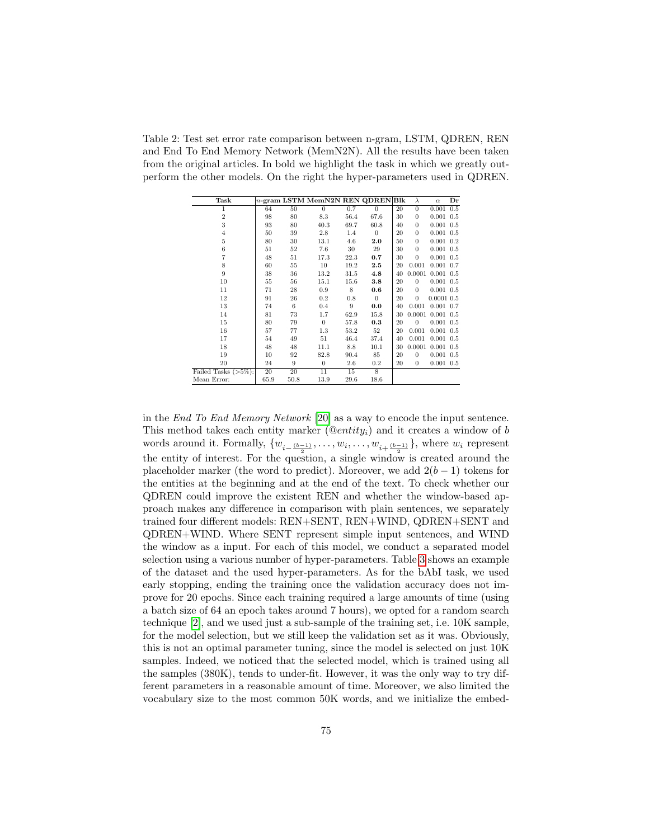<span id="page-6-0"></span>Table 2: Test set error rate comparison between n-gram, LSTM, QDREN, REN and End To End Memory Network (MemN2N). All the results have been taken from the original articles. In bold we highlight the task in which we greatly outperform the other models. On the right the hyper-parameters used in QDREN.

| Task                    |      |      | $n$ -gram LSTM MemN2N REN QDREN Blk |      |                |    | $\lambda$      | $\alpha$               | Dr  |
|-------------------------|------|------|-------------------------------------|------|----------------|----|----------------|------------------------|-----|
| 1                       | 64   | 50   | $\theta$                            | 0.7  | $\theta$       | 20 | $\overline{0}$ | 0.001                  | 0.5 |
| $\overline{2}$          | 98   | 80   | 8.3                                 | 56.4 | 67.6           | 30 | $\overline{0}$ | 0.001                  | 0.5 |
| 3                       | 93   | 80   | 40.3                                | 69.7 | 60.8           | 40 | $\overline{0}$ | $0.001$ $0.5$          |     |
| $\overline{4}$          | 50   | 39   | 2.8                                 | 1.4  | $\overline{0}$ | 20 | $\theta$       | $0.001$ $0.5$          |     |
| 5                       | 80   | 30   | 13.1                                | 4.6  | 2.0            | 50 | $\overline{0}$ | $0.001$ $0.2$          |     |
| 6                       | 51   | 52   | 7.6                                 | 30   | 29             | 30 | $\overline{0}$ | $0.001$ $0.5$          |     |
| 7                       | 48   | 51   | 17.3                                | 22.3 | 0.7            | 30 | $\theta$       | 0.001                  | 0.5 |
| 8                       | 60   | 55   | 10                                  | 19.2 | 2.5            | 20 | 0.001          | $0.001$ $0.7$          |     |
| 9                       | 38   | 36   | 13.2                                | 31.5 | 4.8            | 40 |                | $0.0001$ $0.001$ $0.5$ |     |
| 10                      | 55   | 56   | 15.1                                | 15.6 | 3.8            | 20 | $\theta$       | $0.001$ $0.5$          |     |
| 11                      | 71   | 28   | 0.9                                 | 8    | 0.6            | 20 | $\Omega$       | $0.001$ $0.5$          |     |
| 12                      | 91   | 26   | 0.2                                 | 0.8  | $\overline{0}$ | 20 | $\theta$       | $0.0001$ $0.5$         |     |
| 13                      | 74   | 6    | 0.4                                 | 9    | 0.0            | 40 | 0.001          | $0.001$ $0.7$          |     |
| 14                      | 81   | 73   | 1.7                                 | 62.9 | 15.8           | 30 |                | $0.0001$ $0.001$ $0.5$ |     |
| 15                      | 80   | 79   | $\overline{0}$                      | 57.8 | 0.3            | 20 | $\overline{0}$ | 0.001                  | 0.5 |
| 16                      | 57   | 77   | $1.3\,$                             | 53.2 | 52             | 20 | 0.001          | 0.001                  | 0.5 |
| 17                      | 54   | 49   | 51                                  | 46.4 | 37.4           | 40 | 0.001          | 0.001                  | 0.5 |
| 18                      | 48   | 48   | 11.1                                | 8.8  | 10.1           | 30 | 0.0001         | $0.001$ $0.5$          |     |
| 19                      | 10   | 92   | 82.8                                | 90.4 | 85             | 20 | $\theta$       | $0.001$ $0.5$          |     |
| 20                      | 24   | 9    | $\theta$                            | 2.6  | 0.2            | 20 | $\overline{0}$ | $0.001$ $0.5$          |     |
| Failed Tasks $(>5\%)$ : | 20   | 20   | 11                                  | 15   | 8              |    |                |                        |     |
| Mean Error:             | 65.9 | 50.8 | 13.9                                | 29.6 | 18.6           |    |                |                        |     |

in the End To End Memory Network [\[20\]](#page-11-4) as a way to encode the input sentence. This method takes each entity marker  $(@entity<sub>i</sub>)$  and it creates a window of b words around it. Formally,  $\{w_{i-\frac{(b-1)}{2}}, \ldots, w_i, \ldots, w_{i+\frac{(b-1)}{2}}\}$ , where  $w_i$  represent the entity of interest. For the question, a single window is created around the placeholder marker (the word to predict). Moreover, we add  $2(b-1)$  tokens for the entities at the beginning and at the end of the text. To check whether our QDREN could improve the existent REN and whether the window-based approach makes any difference in comparison with plain sentences, we separately trained four different models: REN+SENT, REN+WIND, QDREN+SENT and QDREN+WIND. Where SENT represent simple input sentences, and WIND the window as a input. For each of this model, we conduct a separated model selection using a various number of hyper-parameters. Table [3](#page-7-0) shows an example of the dataset and the used hyper-parameters. As for the bAbI task, we used early stopping, ending the training once the validation accuracy does not improve for 20 epochs. Since each training required a large amounts of time (using a batch size of 64 an epoch takes around 7 hours), we opted for a random search technique [\[2\]](#page-10-7), and we used just a sub-sample of the training set, i.e. 10K sample, for the model selection, but we still keep the validation set as it was. Obviously, this is not an optimal parameter tuning, since the model is selected on just 10K samples. Indeed, we noticed that the selected model, which is trained using all the samples (380K), tends to under-fit. However, it was the only way to try different parameters in a reasonable amount of time. Moreover, we also limited the vocabulary size to the most common 50K words, and we initialize the embed-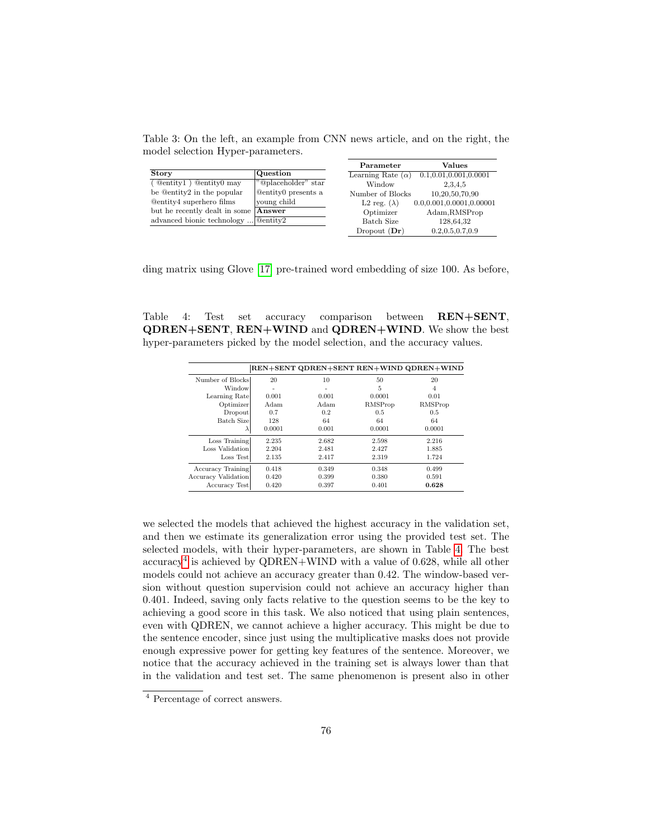<span id="page-7-0"></span>Table 3: On the left, an example from CNN news article, and on the right, the model selection Hyper-parameters.

|                                 |                            | Parameter                       | Values                             |
|---------------------------------|----------------------------|---------------------------------|------------------------------------|
| <b>Story</b>                    | Question                   | Learning Rate $(\alpha)$        | 0.1, 0.01, 0.001, 0.0001           |
| ( Qentity1 ) Qentity0 may       | "@placeholder" star        | Window                          | 2.3.4.5                            |
| be @entity2 in the popular      | <b>Quentity</b> presents a | Number of Blocks                | 10,20,50,70,90                     |
| <b>Qentity4</b> superhero films | young child                | L <sub>2</sub> reg. $(\lambda)$ | $0.0.0.001$ , $0.0001$ , $0.00001$ |
| but he recently dealt in some   | Answer                     | Optimizer                       | Adam, RMSProp                      |
| advanced bionic technology      | $\sqrt{\omega}$ entitv2    | Batch Size                      | 128,64,32                          |
|                                 |                            | Dropout $(Dr)$                  | 0.2, 0.5, 0.7, 0.9                 |

ding matrix using Glove [\[17\]](#page-11-16) pre-trained word embedding of size 100. As before,

<span id="page-7-1"></span>Table 4: Test set accuracy comparison between REN+SENT, QDREN+SENT, REN+WIND and QDREN+WIND. We show the best hyper-parameters picked by the model selection, and the accuracy values.

|                     |        |       |         | REN+SENT QDREN+SENT REN+WIND QDREN+WIND |
|---------------------|--------|-------|---------|-----------------------------------------|
| Number of Blocks    | 20     | 10    | 50      | 20                                      |
| Window              |        |       | 5       | 4                                       |
| Learning Rate       | 0.001  | 0.001 | 0.0001  | 0.01                                    |
| Optimizer           | Adam   | Adam  | RMSProp | RMSProp                                 |
| Dropout             | 0.7    | 0.2   | 0.5     | 0.5                                     |
| <b>Batch Sizel</b>  | 128    | 64    | 64      | 64                                      |
| $\lambda$           | 0.0001 | 0.001 | 0.0001  | 0.0001                                  |
| Loss Training       | 2.235  | 2.682 | 2.598   | 2.216                                   |
| Loss Validation     | 2.204  | 2.481 | 2.427   | 1.885                                   |
| Loss Test           | 2.135  | 2.417 | 2.319   | 1.724                                   |
| Accuracy Training   | 0.418  | 0.349 | 0.348   | 0.499                                   |
| Accuracy Validation | 0.420  | 0.399 | 0.380   | 0.591                                   |
| Accuracy Test       | 0.420  | 0.397 | 0.401   | 0.628                                   |

we selected the models that achieved the highest accuracy in the validation set, and then we estimate its generalization error using the provided test set. The selected models, with their hyper-parameters, are shown in Table [4.](#page-7-1) The best accuracy[4](#page-7-2) is achieved by QDREN+WIND with a value of 0.628, while all other models could not achieve an accuracy greater than 0.42. The window-based version without question supervision could not achieve an accuracy higher than 0.401. Indeed, saving only facts relative to the question seems to be the key to achieving a good score in this task. We also noticed that using plain sentences, even with QDREN, we cannot achieve a higher accuracy. This might be due to the sentence encoder, since just using the multiplicative masks does not provide enough expressive power for getting key features of the sentence. Moreover, we notice that the accuracy achieved in the training set is always lower than that in the validation and test set. The same phenomenon is present also in other

<span id="page-7-2"></span><sup>4</sup> Percentage of correct answers.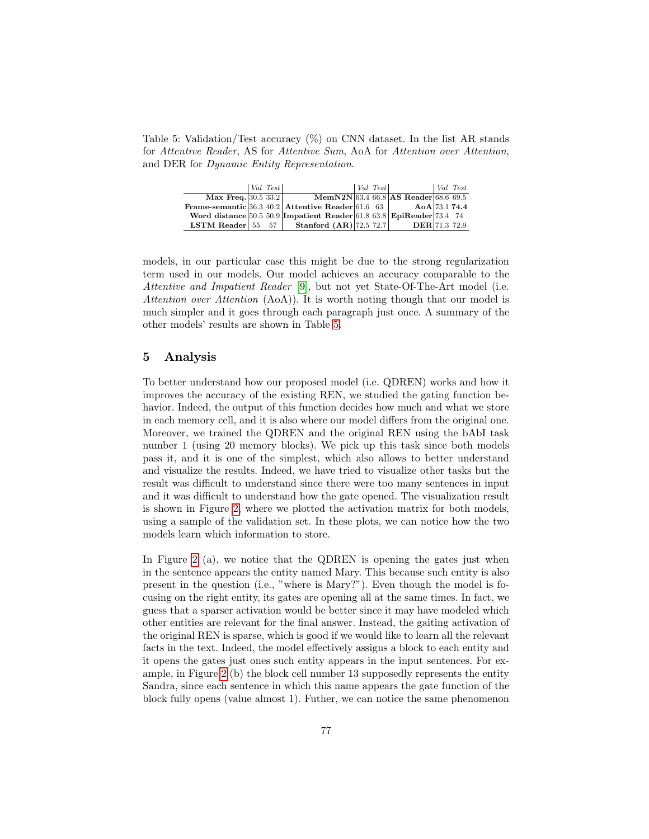<span id="page-8-0"></span>Table 5: Validation/Test accuracy (%) on CNN dataset. In the list AR stands for Attentive Reader, AS for Attentive Sum, AoA for Attention over Attention, and DER for Dynamic Entity Representation.

|                           | $ Val \; Test $ |                                                                         | Val Test |                                      | $Val$ Test |
|---------------------------|-----------------|-------------------------------------------------------------------------|----------|--------------------------------------|------------|
| Max Freq. $ 30.5 \t33.2 $ |                 |                                                                         |          | MemN2N 63.4 66.8 AS Reader 68.6 69.5 |            |
|                           |                 | Frame-semantic 36.3 40.2 Attentive Reader 61.6 63                       |          | $A \odot A   73.1 74.4$              |            |
|                           |                 | Word distance $50.5\ 50.9$ Impatient Reader 61.8 63.8 EpiReader 73.4 74 |          |                                      |            |
| LSTM Reader $55\quad 57$  |                 | <b>Stanford <math>(AR)</math></b> 72.5 72.7                             |          | <b>DER</b> 71.3 72.9                 |            |

models, in our particular case this might be due to the strong regularization term used in our models. Our model achieves an accuracy comparable to the Attentive and Impatient Reader [\[9\]](#page-11-3), but not yet State-Of-The-Art model (i.e. Attention over Attention (AoA)). It is worth noting though that our model is much simpler and it goes through each paragraph just once. A summary of the other models' results are shown in Table [5.](#page-8-0)

#### 5 Analysis

To better understand how our proposed model (i.e. QDREN) works and how it improves the accuracy of the existing REN, we studied the gating function behavior. Indeed, the output of this function decides how much and what we store in each memory cell, and it is also where our model differs from the original one. Moreover, we trained the QDREN and the original REN using the bAbI task number 1 (using 20 memory blocks). We pick up this task since both models pass it, and it is one of the simplest, which also allows to better understand and visualize the results. Indeed, we have tried to visualize other tasks but the result was difficult to understand since there were too many sentences in input and it was difficult to understand how the gate opened. The visualization result is shown in Figure [2,](#page-9-0) where we plotted the activation matrix for both models, using a sample of the validation set. In these plots, we can notice how the two models learn which information to store.

In Figure [2](#page-9-0) (a), we notice that the QDREN is opening the gates just when in the sentence appears the entity named Mary. This because such entity is also present in the question (i.e., "where is Mary?"). Even though the model is focusing on the right entity, its gates are opening all at the same times. In fact, we guess that a sparser activation would be better since it may have modeled which other entities are relevant for the final answer. Instead, the gaiting activation of the original REN is sparse, which is good if we would like to learn all the relevant facts in the text. Indeed, the model effectively assigns a block to each entity and it opens the gates just ones such entity appears in the input sentences. For example, in Figure [2](#page-9-0) (b) the block cell number 13 supposedly represents the entity Sandra, since each sentence in which this name appears the gate function of the block fully opens (value almost 1). Futher, we can notice the same phenomenon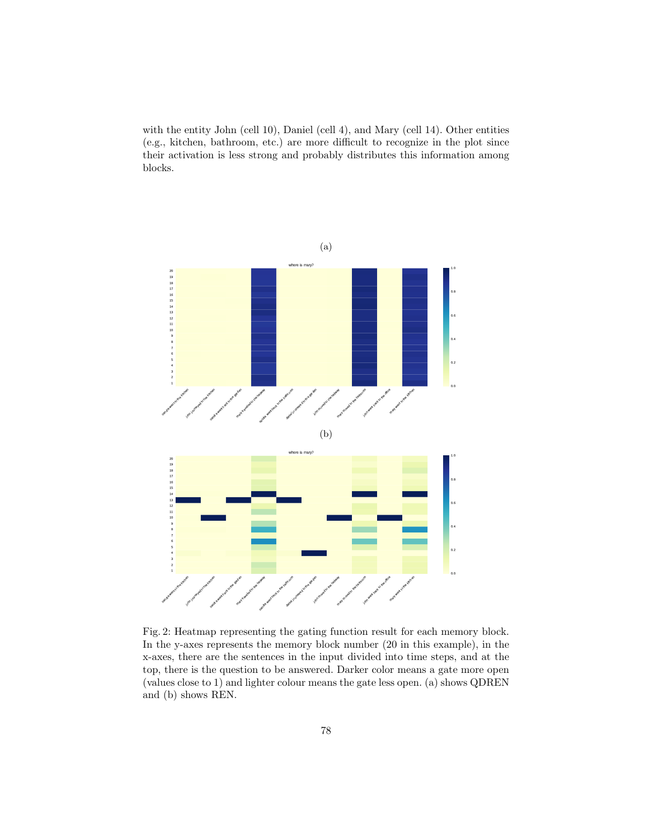with the entity John (cell 10), Daniel (cell 4), and Mary (cell 14). Other entities (e.g., kitchen, bathroom, etc.) are more difficult to recognize in the plot since their activation is less strong and probably distributes this information among blocks.

<span id="page-9-0"></span>

Fig. 2: Heatmap representing the gating function result for each memory block. In the y-axes represents the memory block number (20 in this example), in the x-axes, there are the sentences in the input divided into time steps, and at the top, there is the question to be answered. Darker color means a gate more open (values close to 1) and lighter colour means the gate less open. (a) shows QDREN and (b) shows REN.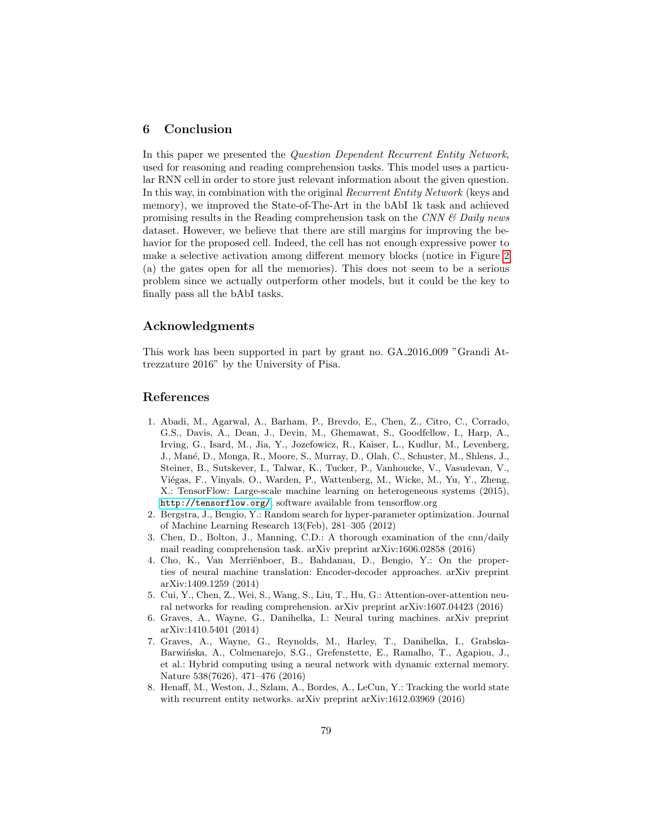# 6 Conclusion

In this paper we presented the Question Dependent Recurrent Entity Network, used for reasoning and reading comprehension tasks. This model uses a particular RNN cell in order to store just relevant information about the given question. In this way, in combination with the original Recurrent Entity Network (keys and memory), we improved the State-of-The-Art in the bAbI 1k task and achieved promising results in the Reading comprehension task on the CNN  $\mathcal{B}$  Daily news dataset. However, we believe that there are still margins for improving the behavior for the proposed cell. Indeed, the cell has not enough expressive power to make a selective activation among different memory blocks (notice in Figure [2](#page-9-0) (a) the gates open for all the memories). This does not seem to be a serious problem since we actually outperform other models, but it could be the key to finally pass all the bAbI tasks.

# Acknowledgments

This work has been supported in part by grant no. GA 2016 009 "Grandi Attrezzature 2016" by the University of Pisa.

#### References

- <span id="page-10-6"></span>1. Abadi, M., Agarwal, A., Barham, P., Brevdo, E., Chen, Z., Citro, C., Corrado, G.S., Davis, A., Dean, J., Devin, M., Ghemawat, S., Goodfellow, I., Harp, A., Irving, G., Isard, M., Jia, Y., Jozefowicz, R., Kaiser, L., Kudlur, M., Levenberg, J., Man´e, D., Monga, R., Moore, S., Murray, D., Olah, C., Schuster, M., Shlens, J., Steiner, B., Sutskever, I., Talwar, K., Tucker, P., Vanhoucke, V., Vasudevan, V., Viégas, F., Vinyals, O., Warden, P., Wattenberg, M., Wicke, M., Yu, Y., Zheng, X.: TensorFlow: Large-scale machine learning on heterogeneous systems (2015), <http://tensorflow.org/>, software available from tensorflow.org
- <span id="page-10-7"></span>2. Bergstra, J., Bengio, Y.: Random search for hyper-parameter optimization. Journal of Machine Learning Research 13(Feb), 281–305 (2012)
- <span id="page-10-3"></span>3. Chen, D., Bolton, J., Manning, C.D.: A thorough examination of the cnn/daily mail reading comprehension task. arXiv preprint arXiv:1606.02858 (2016)
- <span id="page-10-5"></span>4. Cho, K., Van Merriënboer, B., Bahdanau, D., Bengio, Y.: On the properties of neural machine translation: Encoder-decoder approaches. arXiv preprint arXiv:1409.1259 (2014)
- <span id="page-10-4"></span>5. Cui, Y., Chen, Z., Wei, S., Wang, S., Liu, T., Hu, G.: Attention-over-attention neural networks for reading comprehension. arXiv preprint arXiv:1607.04423 (2016)
- <span id="page-10-0"></span>6. Graves, A., Wayne, G., Danihelka, I.: Neural turing machines. arXiv preprint arXiv:1410.5401 (2014)
- <span id="page-10-2"></span>7. Graves, A., Wayne, G., Reynolds, M., Harley, T., Danihelka, I., Grabska-Barwińska, A., Colmenarejo, S.G., Grefenstette, E., Ramalho, T., Agapiou, J., et al.: Hybrid computing using a neural network with dynamic external memory. Nature 538(7626), 471–476 (2016)
- <span id="page-10-1"></span>8. Henaff, M., Weston, J., Szlam, A., Bordes, A., LeCun, Y.: Tracking the world state with recurrent entity networks. arXiv preprint arXiv:1612.03969 (2016)